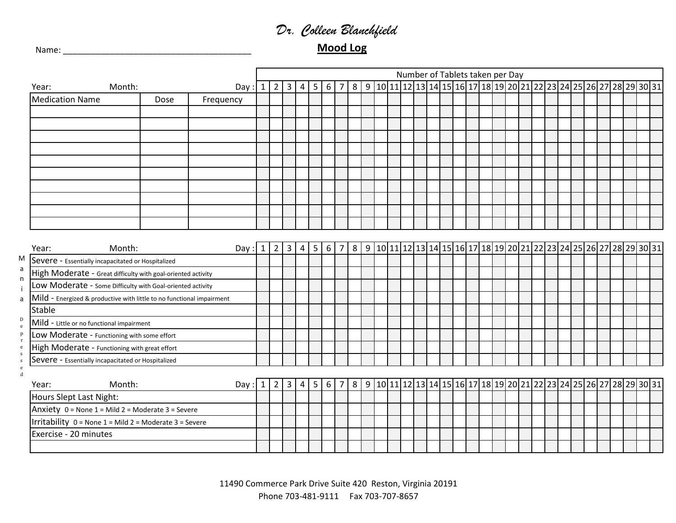## *Dr. Colleen Blanchfield*

Name: \_\_\_\_\_\_\_\_\_\_\_\_\_\_\_\_\_\_\_\_\_\_\_\_\_\_\_\_\_\_\_\_\_\_\_\_\_\_\_\_ **Mood Log**

|                              |                                                                       |        |      |           |   |                |                |   |   |                 |                |  |  |  | Number of Tablets taken per Day |  |  |  |  |  |  |  |                                                                       |
|------------------------------|-----------------------------------------------------------------------|--------|------|-----------|---|----------------|----------------|---|---|-----------------|----------------|--|--|--|---------------------------------|--|--|--|--|--|--|--|-----------------------------------------------------------------------|
|                              | Year:                                                                 | Month: |      | Day       |   | $\overline{2}$ | $\overline{3}$ | 4 | 5 | $6 \mid 7$      |                |  |  |  |                                 |  |  |  |  |  |  |  | 8 9 10 11 12 13 14 15 16 17 18 19 20 21 22 23 24 25 26 27 28 29 30 31 |
|                              | <b>Medication Name</b>                                                |        | Dose | Frequency |   |                |                |   |   |                 |                |  |  |  |                                 |  |  |  |  |  |  |  |                                                                       |
|                              |                                                                       |        |      |           |   |                |                |   |   |                 |                |  |  |  |                                 |  |  |  |  |  |  |  |                                                                       |
|                              |                                                                       |        |      |           |   |                |                |   |   |                 |                |  |  |  |                                 |  |  |  |  |  |  |  |                                                                       |
|                              |                                                                       |        |      |           |   |                |                |   |   |                 |                |  |  |  |                                 |  |  |  |  |  |  |  |                                                                       |
|                              |                                                                       |        |      |           |   |                |                |   |   |                 |                |  |  |  |                                 |  |  |  |  |  |  |  |                                                                       |
|                              |                                                                       |        |      |           |   |                |                |   |   |                 |                |  |  |  |                                 |  |  |  |  |  |  |  |                                                                       |
|                              |                                                                       |        |      |           |   |                |                |   |   |                 |                |  |  |  |                                 |  |  |  |  |  |  |  |                                                                       |
|                              |                                                                       |        |      |           |   |                |                |   |   |                 |                |  |  |  |                                 |  |  |  |  |  |  |  |                                                                       |
|                              |                                                                       |        |      |           |   |                |                |   |   |                 |                |  |  |  |                                 |  |  |  |  |  |  |  |                                                                       |
|                              |                                                                       |        |      |           |   |                |                |   |   |                 |                |  |  |  |                                 |  |  |  |  |  |  |  |                                                                       |
|                              |                                                                       |        |      |           |   |                |                |   |   |                 |                |  |  |  |                                 |  |  |  |  |  |  |  |                                                                       |
|                              |                                                                       |        |      |           |   |                |                |   |   |                 |                |  |  |  |                                 |  |  |  |  |  |  |  |                                                                       |
|                              | Year:                                                                 | Month: |      | Day       |   | $\overline{2}$ | 3              | 4 | 5 | 6               | $\overline{7}$ |  |  |  |                                 |  |  |  |  |  |  |  | 8 9 10 11 12 13 14 15 16 17 18 19 20 21 22 23 24 25 26 27 28 29 30 31 |
| M                            | Severe - Essentially incapacitated or Hospitalized                    |        |      |           |   |                |                |   |   |                 |                |  |  |  |                                 |  |  |  |  |  |  |  |                                                                       |
| a<br>n                       | High Moderate - Great difficulty with goal-oriented activity          |        |      |           |   |                |                |   |   |                 |                |  |  |  |                                 |  |  |  |  |  |  |  |                                                                       |
| i                            | Low Moderate - Some Difficulty with Goal-oriented activity            |        |      |           |   |                |                |   |   |                 |                |  |  |  |                                 |  |  |  |  |  |  |  |                                                                       |
| a                            | Mild - Energized & productive with little to no functional impairment |        |      |           |   |                |                |   |   |                 |                |  |  |  |                                 |  |  |  |  |  |  |  |                                                                       |
|                              | <b>Stable</b>                                                         |        |      |           |   |                |                |   |   |                 |                |  |  |  |                                 |  |  |  |  |  |  |  |                                                                       |
| $_{\rm e}^{\rm D}$           | Mild - Little or no functional impairment                             |        |      |           |   |                |                |   |   |                 |                |  |  |  |                                 |  |  |  |  |  |  |  |                                                                       |
| $\, {\bf p}$<br>$\bf r$      | Low Moderate - Functioning with some effort                           |        |      |           |   |                |                |   |   |                 |                |  |  |  |                                 |  |  |  |  |  |  |  |                                                                       |
| $\mathbf{e}$<br>${\bf S}$    | High Moderate - Functioning with great effort                         |        |      |           |   |                |                |   |   |                 |                |  |  |  |                                 |  |  |  |  |  |  |  |                                                                       |
| $\mathsf{s}$<br>$\mathbf{e}$ | Severe - Essentially incapacitated or Hospitalized                    |        |      |           |   |                |                |   |   |                 |                |  |  |  |                                 |  |  |  |  |  |  |  |                                                                       |
| $\mathbf d$                  |                                                                       |        |      |           |   |                |                |   |   |                 |                |  |  |  |                                 |  |  |  |  |  |  |  |                                                                       |
|                              | Year:                                                                 | Month: |      | Day:      | 1 | 2              | 3              | 4 | 5 | $6\phantom{1}6$ | $\overline{7}$ |  |  |  |                                 |  |  |  |  |  |  |  | 8 9 10 11 12 13 14 15 16 17 18 19 20 21 22 23 24 25 26 27 28 29 30 31 |
|                              | Hours Slept Last Night:                                               |        |      |           |   |                |                |   |   |                 |                |  |  |  |                                 |  |  |  |  |  |  |  |                                                                       |
|                              | Anxiety 0 = None 1 = Mild 2 = Moderate 3 = Severe                     |        |      |           |   |                |                |   |   |                 |                |  |  |  |                                 |  |  |  |  |  |  |  |                                                                       |
|                              | Irritability 0 = None 1 = Mild 2 = Moderate 3 = Severe                |        |      |           |   |                |                |   |   |                 |                |  |  |  |                                 |  |  |  |  |  |  |  |                                                                       |
|                              | Exercise - 20 minutes                                                 |        |      |           |   |                |                |   |   |                 |                |  |  |  |                                 |  |  |  |  |  |  |  |                                                                       |
|                              |                                                                       |        |      |           |   |                |                |   |   |                 |                |  |  |  |                                 |  |  |  |  |  |  |  |                                                                       |